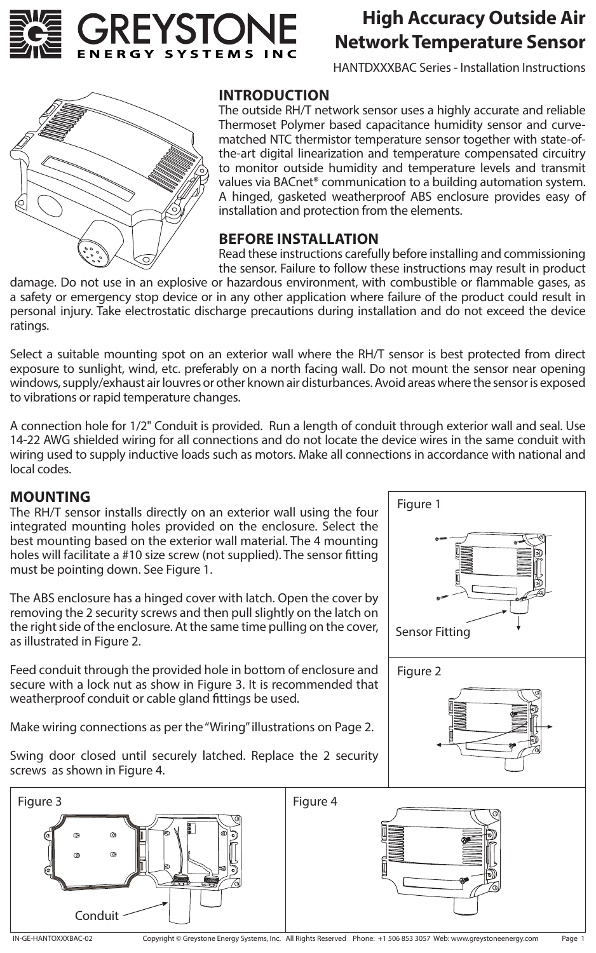

# **High Accuracy Outside Air Network Temperature Sensor**

HANTDXXXBAC Series - Installation Instructions



#### **INTRODUCTION**

The outside RH/T network sensor uses a highly accurate and reliable Thermoset Polymer based capacitance humidity sensor and curvematched NTC thermistor temperature sensor together with state-ofthe-art digital linearization and temperature compensated circuitry to monitor outside humidity and temperature levels and transmit values via BACnet® communication to a building automation system. A hinged, gasketed weatherproof ABS enclosure provides easy of installation and protection from the elements.

### **BEFORE INSTALLATION**

Read these instructions carefully before installing and commissioning the sensor. Failure to follow these instructions may result in product

damage. Do not use in an explosive or hazardous environment, with combustible or flammable gases, as a safety or emergency stop device or in any other application where failure of the product could result in personal injury. Take electrostatic discharge precautions during installation and do not exceed the device ratings.

Select a suitable mounting spot on an exterior wall where the RH/T sensor is best protected from direct exposure to sunlight, wind, etc. preferably on a north facing wall. Do not mount the sensor near opening windows, supply/exhaust air louvres or other known air disturbances. Avoid areas where the sensor is exposed to vibrations or rapid temperature changes.

A connection hole for 1/2" Conduit is provided. Run a length of conduit through exterior wall and seal. Use 14-22 AWG shielded wiring for all connections and do not locate the device wires in the same conduit with wiring used to supply inductive loads such as motors. Make all connections in accordance with national and local codes.

#### **MOUNTING**

The RH/T sensor installs directly on an exterior wall using the four integrated mounting holes provided on the enclosure. Select the best mounting based on the exterior wall material. The 4 mounting holes will facilitate a #10 size screw (not supplied). The sensor fitting must be pointing down. See Figure 1.

The ABS enclosure has a hinged cover with latch. Open the cover by removing the 2 security screws and then pull slightly on the latch on the right side of the enclosure. At the same time pulling on the cover, as illustrated in Figure 2.

Feed conduit through the provided hole in bottom of enclosure and secure with a lock nut as show in Figure 3. It is recommended that weatherproof conduit or cable gland fittings be used.

Make wiring connections as per the "Wiring" illustrations on Page 2.



Swing door closed until securely latched. Replace the 2 security screws as shown in Figure 4.

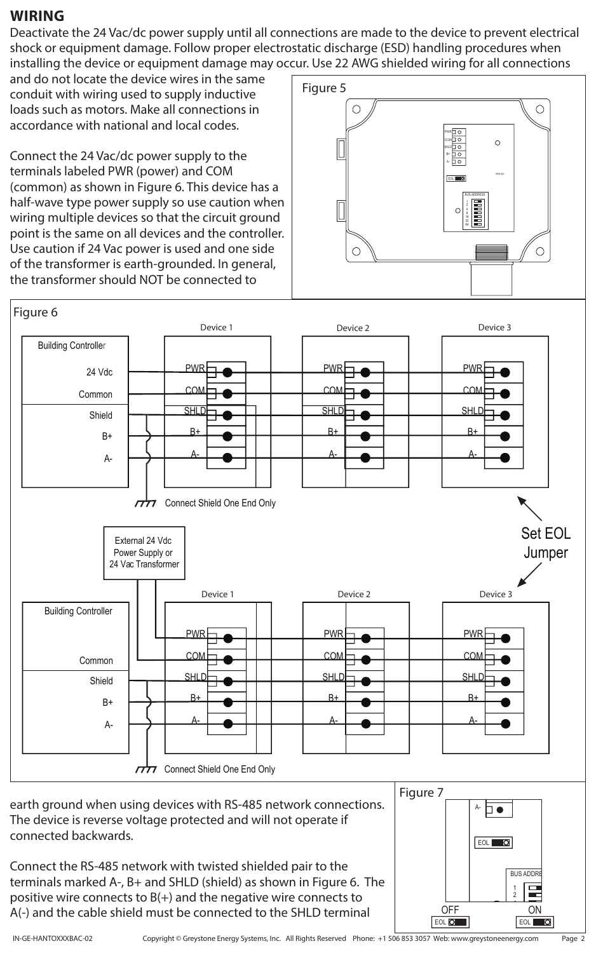# **WIRING**

Deactivate the 24 Vac/dc power supply until all connections are made to the device to prevent electrical shock or equipment damage. Follow proper electrostatic discharge (ESD) handling procedures when installing the device or equipment damage may occur. Use 22 AWG shielded wiring for all connections

and do not locate the device wires in the same conduit with wiring used to supply inductive loads such as motors. Make all connections in accordance with national and local codes.

Connect the 24 Vac/dc power supply to the terminals labeled PWR (power) and COM (common) as shown in Figure 6. This device has a half-wave type power supply so use caution when wiring multiple devices so that the circuit ground point is the same on all devices and the controller. Use caution if 24 Vac power is used and one side of the transformer is earth-grounded. In general, the transformer should NOT be connected to





earth ground when using devices with RS-485 network connections. The device is reverse voltage protected and will not operate if connected backwards.

Connect the RS-485 network with twisted shielded pair to the terminals marked A-, B+ and SHLD (shield) as shown in Figure 6. The positive wire connects to  $B(+)$  and the negative wire connects to A(-) and the cable shield must be connected to the SHLD terminal



Page 2

A-

EOL<sup>O</sup>

▯◕

EOL **O** OFF ON

2 4 1 **BUS ADDRE** 

 $\Box$  $\blacksquare$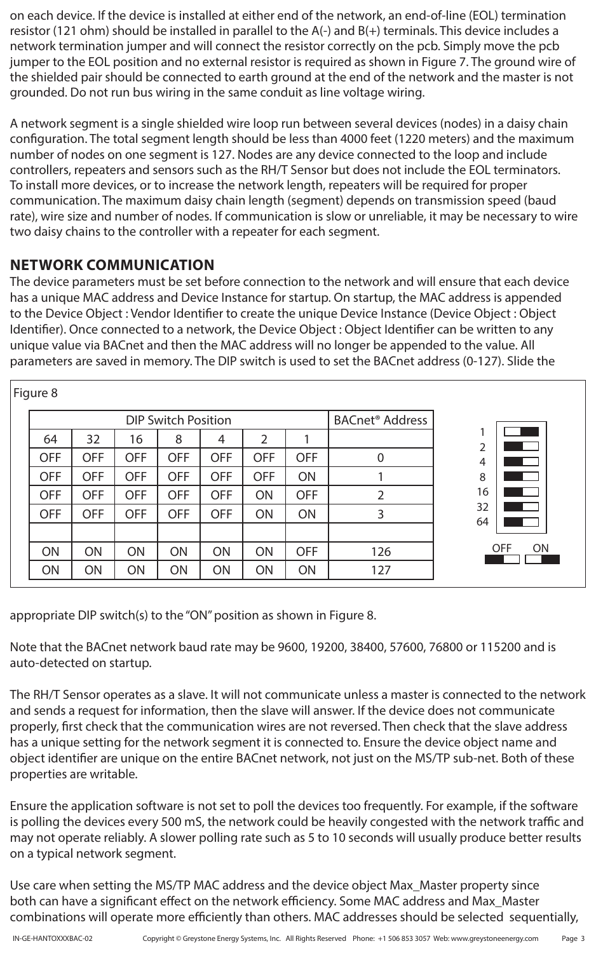on each device. If the device is installed at either end of the network, an end-of-line (EOL) termination resistor (121 ohm) should be installed in parallel to the A(-) and B(+) terminals. This device includes a network termination jumper and will connect the resistor correctly on the pcb. Simply move the pcb jumper to the EOL position and no external resistor is required as shown in Figure 7. The ground wire of the shielded pair should be connected to earth ground at the end of the network and the master is not grounded. Do not run bus wiring in the same conduit as line voltage wiring.

A network segment is a single shielded wire loop run between several devices (nodes) in a daisy chain configuration. The total segment length should be less than 4000 feet (1220 meters) and the maximum number of nodes on one segment is 127. Nodes are any device connected to the loop and include controllers, repeaters and sensors such as the RH/T Sensor but does not include the EOL terminators. To install more devices, or to increase the network length, repeaters will be required for proper communication. The maximum daisy chain length (segment) depends on transmission speed (baud rate), wire size and number of nodes. If communication is slow or unreliable, it may be necessary to wire two daisy chains to the controller with a repeater for each segment.

# **NETWORK COMMUNICATION**

The device parameters must be set before connection to the network and will ensure that each device has a unique MAC address and Device Instance for startup. On startup, the MAC address is appended to the Device Object : Vendor Identifier to create the unique Device Instance (Device Object : Object Identifier). Once connected to a network, the Device Object : Object Identifier can be written to any unique value via BACnet and then the MAC address will no longer be appended to the value. All parameters are saved in memory. The DIP switch is used to set the BACnet address (0-127). Slide the

| Figure 8 |                            |            |            |            |            |                |            |                                   |                         |
|----------|----------------------------|------------|------------|------------|------------|----------------|------------|-----------------------------------|-------------------------|
|          | <b>DIP Switch Position</b> |            |            |            |            |                |            | <b>BACnet<sup>®</sup></b> Address |                         |
|          | 64                         | 32         | 16         | 8          | 4          | $\overline{2}$ |            |                                   | $\mathfrak{p}$          |
|          | <b>OFF</b>                 | <b>OFF</b> | <b>OFF</b> | <b>OFF</b> | <b>OFF</b> | <b>OFF</b>     | <b>OFF</b> | $\overline{0}$                    | 4                       |
|          | <b>OFF</b>                 | <b>OFF</b> | <b>OFF</b> | <b>OFF</b> | <b>OFF</b> | <b>OFF</b>     | <b>ON</b>  |                                   | 8                       |
|          | <b>OFF</b>                 | <b>OFF</b> | <b>OFF</b> | <b>OFF</b> | <b>OFF</b> | ON             | <b>OFF</b> | 2                                 | 16                      |
|          | <b>OFF</b>                 | <b>OFF</b> | <b>OFF</b> | <b>OFF</b> | <b>OFF</b> | <b>ON</b>      | ON         | 3                                 | 32<br>64                |
|          |                            |            |            |            |            |                |            |                                   |                         |
|          | <b>ON</b>                  | <b>ON</b>  | ON         | ON         | ON         | ON             | <b>OFF</b> | 126                               | <b>OFF</b><br><b>ON</b> |
|          | ON                         | ON         | ON         | ON         | ON         | ON             | ON         | 127                               |                         |

appropriate DIP switch(s) to the "ON" position as shown in Figure 8.

Note that the BACnet network baud rate may be 9600, 19200, 38400, 57600, 76800 or 115200 and is auto-detected on startup.

The RH/T Sensor operates as a slave. It will not communicate unless a master is connected to the network and sends a request for information, then the slave will answer. If the device does not communicate properly, first check that the communication wires are not reversed. Then check that the slave address has a unique setting for the network segment it is connected to. Ensure the device object name and object identifier are unique on the entire BACnet network, not just on the MS/TP sub-net. Both of these properties are writable.

Ensure the application software is not set to poll the devices too frequently. For example, if the software is polling the devices every 500 mS, the network could be heavily congested with the network traffic and may not operate reliably. A slower polling rate such as 5 to 10 seconds will usually produce better results on a typical network segment.

Use care when setting the MS/TP MAC address and the device object Max\_Master property since both can have a significant effect on the network efficiency. Some MAC address and Max\_Master combinations will operate more efficiently than others. MAC addresses should be selected sequentially,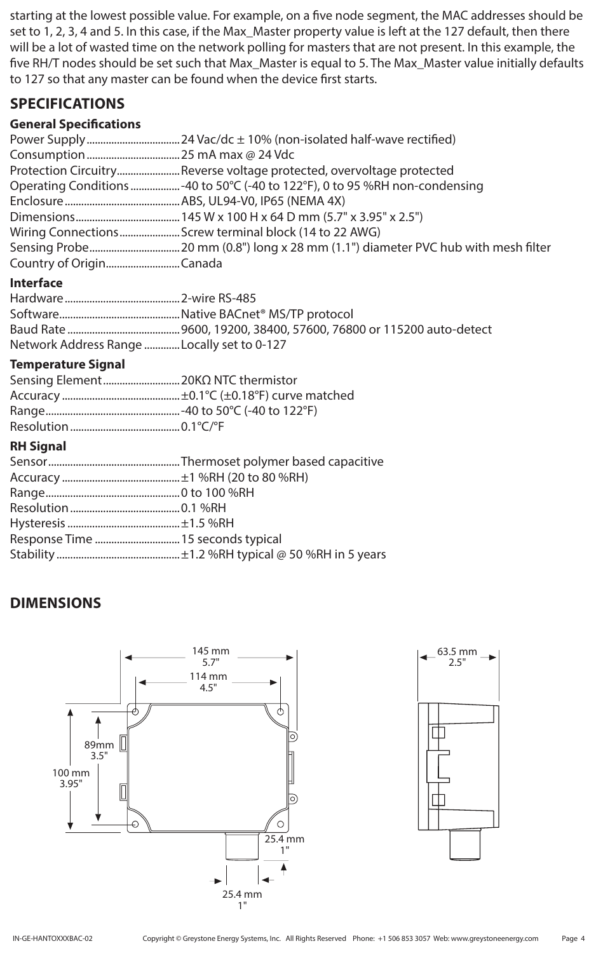starting at the lowest possible value. For example, on a five node segment, the MAC addresses should be set to 1, 2, 3, 4 and 5. In this case, if the Max\_Master property value is left at the 127 default, then there will be a lot of wasted time on the network polling for masters that are not present. In this example, the five RH/T nodes should be set such that Max\_Master is equal to 5. The Max\_Master value initially defaults to 127 so that any master can be found when the device first starts.

# **SPECIFICATIONS**

#### **General Specifications**

|                         | Protection CircuitryReverse voltage protected, overvoltage protected         |
|-------------------------|------------------------------------------------------------------------------|
|                         | Operating Conditions  -40 to 50°C (-40 to 122°F), 0 to 95 %RH non-condensing |
|                         |                                                                              |
|                         |                                                                              |
|                         | Wiring ConnectionsScrew terminal block (14 to 22 AWG)                        |
|                         |                                                                              |
| Country of OriginCanada |                                                                              |

#### **Interface**

| Network Address Range Locally set to 0-127 |  |
|--------------------------------------------|--|

#### **Temperature Signal**

#### **RH Signal**

# **DIMENSIONS**